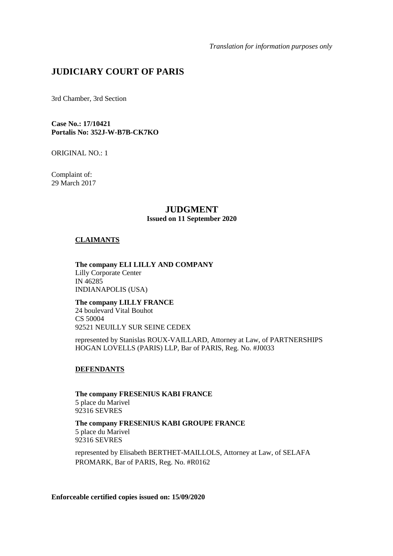*Translation for information purposes only* 

# **JUDICIARY COURT OF PARIS**

3rd Chamber, 3rd Section

**Case No.: 17/10421 Portalis No: 352J-W-B7B-CK7KO** 

ORIGINAL NO.: 1

Complaint of: 29 March 2017

# **JUDGMENT**

# **Issued on 11 September 2020**

# **CLAIMANTS**

**The company ELI LILLY AND COMPANY**  Lilly Corporate Center IN 46285 INDIANAPOLIS (USA)

**The company LILLY FRANCE** 24 boulevard Vital Bouhot CS 50004 92521 NEUILLY SUR SEINE CEDEX

represented by Stanislas ROUX-VAILLARD, Attorney at Law, of PARTNERSHIPS HOGAN LOVELLS (PARIS) LLP, Bar of PARIS, Reg. No. #J0033

# **DEFENDANTS**

**The company FRESENIUS KABI FRANCE**  5 place du Marivel 92316 SEVRES

**The company FRESENIUS KABI GROUPE FRANCE**  5 place du Marivel 92316 SEVRES

represented by Elisabeth BERTHET-MAILLOLS, Attorney at Law, of SELAFA PROMARK, Bar of PARIS, Reg. No. #R0162

**Enforceable certified copies issued on: 15/09/2020**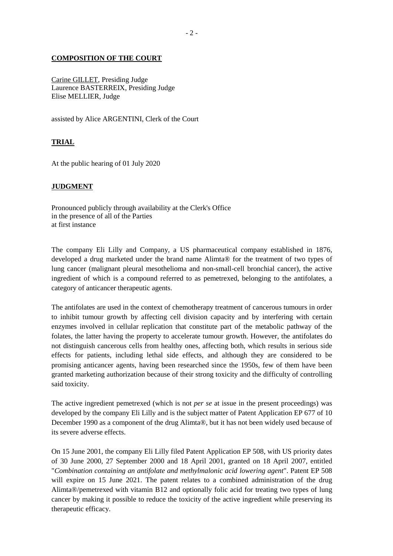# **COMPOSITION OF THE COURT**

Carine GILLET, Presiding Judge Laurence BASTERREIX, Presiding Judge Elise MELLIER, Judge

assisted by Alice ARGENTINI, Clerk of the Court

# **TRIAL**

At the public hearing of 01 July 2020

### **JUDGMENT**

Pronounced publicly through availability at the Clerk's Office in the presence of all of the Parties at first instance

The company Eli Lilly and Company, a US pharmaceutical company established in 1876, developed a drug marketed under the brand name Alimta® for the treatment of two types of lung cancer (malignant pleural mesothelioma and non-small-cell bronchial cancer), the active ingredient of which is a compound referred to as pemetrexed, belonging to the antifolates, a category of anticancer therapeutic agents.

The antifolates are used in the context of chemotherapy treatment of cancerous tumours in order to inhibit tumour growth by affecting cell division capacity and by interfering with certain enzymes involved in cellular replication that constitute part of the metabolic pathway of the folates, the latter having the property to accelerate tumour growth. However, the antifolates do not distinguish cancerous cells from healthy ones, affecting both, which results in serious side effects for patients, including lethal side effects, and although they are considered to be promising anticancer agents, having been researched since the 1950s, few of them have been granted marketing authorization because of their strong toxicity and the difficulty of controlling said toxicity.

The active ingredient pemetrexed (which is not *per se* at issue in the present proceedings) was developed by the company Eli Lilly and is the subject matter of Patent Application EP 677 of 10 December 1990 as a component of the drug Alimta®, but it has not been widely used because of its severe adverse effects.

On 15 June 2001, the company Eli Lilly filed Patent Application EP 508, with US priority dates of 30 June 2000, 27 September 2000 and 18 April 2001, granted on 18 April 2007, entitled "*Combination containing an antifolate and methylmalonic acid lowering agent*". Patent EP 508 will expire on 15 June 2021. The patent relates to a combined administration of the drug Alimta®/pemetrexed with vitamin B12 and optionally folic acid for treating two types of lung cancer by making it possible to reduce the toxicity of the active ingredient while preserving its therapeutic efficacy.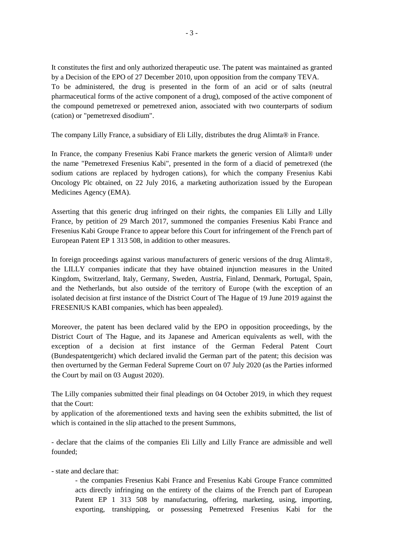It constitutes the first and only authorized therapeutic use. The patent was maintained as granted by a Decision of the EPO of 27 December 2010, upon opposition from the company TEVA. To be administered, the drug is presented in the form of an acid or of salts (neutral pharmaceutical forms of the active component of a drug), composed of the active component of the compound pemetrexed or pemetrexed anion, associated with two counterparts of sodium (cation) or "pemetrexed disodium".

The company Lilly France, a subsidiary of Eli Lilly, distributes the drug Alimta® in France.

In France, the company Fresenius Kabi France markets the generic version of Alimta® under the name "Pemetrexed Fresenius Kabi", presented in the form of a diacid of pemetrexed (the sodium cations are replaced by hydrogen cations), for which the company Fresenius Kabi Oncology Plc obtained, on 22 July 2016, a marketing authorization issued by the European Medicines Agency (EMA).

Asserting that this generic drug infringed on their rights, the companies Eli Lilly and Lilly France, by petition of 29 March 2017, summoned the companies Fresenius Kabi France and Fresenius Kabi Groupe France to appear before this Court for infringement of the French part of European Patent EP 1 313 508, in addition to other measures.

In foreign proceedings against various manufacturers of generic versions of the drug Alimta®, the LILLY companies indicate that they have obtained injunction measures in the United Kingdom, Switzerland, Italy, Germany, Sweden, Austria, Finland, Denmark, Portugal, Spain, and the Netherlands, but also outside of the territory of Europe (with the exception of an isolated decision at first instance of the District Court of The Hague of 19 June 2019 against the FRESENIUS KABI companies, which has been appealed).

Moreover, the patent has been declared valid by the EPO in opposition proceedings, by the District Court of The Hague, and its Japanese and American equivalents as well, with the exception of a decision at first instance of the German Federal Patent Court (Bundespatentgericht) which declared invalid the German part of the patent; this decision was then overturned by the German Federal Supreme Court on 07 July 2020 (as the Parties informed the Court by mail on 03 August 2020).

The Lilly companies submitted their final pleadings on 04 October 2019, in which they request that the Court:

by application of the aforementioned texts and having seen the exhibits submitted, the list of which is contained in the slip attached to the present Summons,

- declare that the claims of the companies Eli Lilly and Lilly France are admissible and well founded;

- state and declare that:

- the companies Fresenius Kabi France and Fresenius Kabi Groupe France committed acts directly infringing on the entirety of the claims of the French part of European Patent EP 1 313 508 by manufacturing, offering, marketing, using, importing, exporting, transhipping, or possessing Pemetrexed Fresenius Kabi for the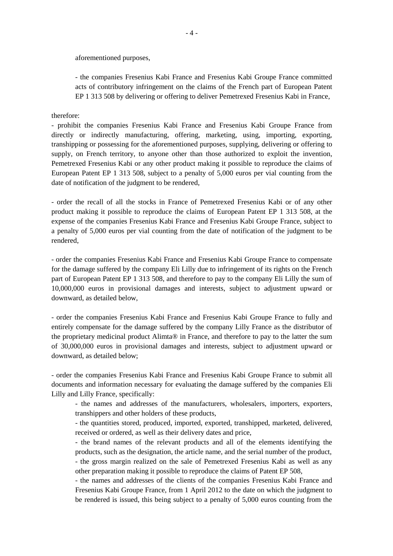aforementioned purposes,

- the companies Fresenius Kabi France and Fresenius Kabi Groupe France committed acts of contributory infringement on the claims of the French part of European Patent EP 1 313 508 by delivering or offering to deliver Pemetrexed Fresenius Kabi in France,

therefore:

- prohibit the companies Fresenius Kabi France and Fresenius Kabi Groupe France from directly or indirectly manufacturing, offering, marketing, using, importing, exporting, transhipping or possessing for the aforementioned purposes, supplying, delivering or offering to supply, on French territory, to anyone other than those authorized to exploit the invention, Pemetrexed Fresenius Kabi or any other product making it possible to reproduce the claims of European Patent EP 1 313 508, subject to a penalty of 5,000 euros per vial counting from the date of notification of the judgment to be rendered,

- order the recall of all the stocks in France of Pemetrexed Fresenius Kabi or of any other product making it possible to reproduce the claims of European Patent EP 1 313 508, at the expense of the companies Fresenius Kabi France and Fresenius Kabi Groupe France, subject to a penalty of 5,000 euros per vial counting from the date of notification of the judgment to be rendered,

- order the companies Fresenius Kabi France and Fresenius Kabi Groupe France to compensate for the damage suffered by the company Eli Lilly due to infringement of its rights on the French part of European Patent EP 1 313 508, and therefore to pay to the company Eli Lilly the sum of 10,000,000 euros in provisional damages and interests, subject to adjustment upward or downward, as detailed below,

- order the companies Fresenius Kabi France and Fresenius Kabi Groupe France to fully and entirely compensate for the damage suffered by the company Lilly France as the distributor of the proprietary medicinal product Alimta® in France, and therefore to pay to the latter the sum of 30,000,000 euros in provisional damages and interests, subject to adjustment upward or downward, as detailed below;

- order the companies Fresenius Kabi France and Fresenius Kabi Groupe France to submit all documents and information necessary for evaluating the damage suffered by the companies Eli Lilly and Lilly France, specifically:

- the names and addresses of the manufacturers, wholesalers, importers, exporters, transhippers and other holders of these products,

- the quantities stored, produced, imported, exported, transhipped, marketed, delivered, received or ordered, as well as their delivery dates and price,

- the brand names of the relevant products and all of the elements identifying the products, such as the designation, the article name, and the serial number of the product, - the gross margin realized on the sale of Pemetrexed Fresenius Kabi as well as any other preparation making it possible to reproduce the claims of Patent EP 508,

- the names and addresses of the clients of the companies Fresenius Kabi France and Fresenius Kabi Groupe France, from 1 April 2012 to the date on which the judgment to be rendered is issued, this being subject to a penalty of 5,000 euros counting from the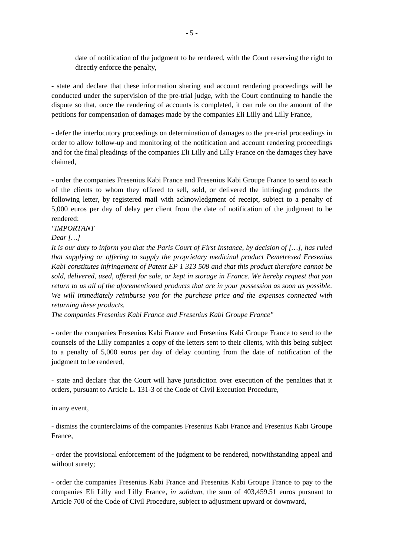date of notification of the judgment to be rendered, with the Court reserving the right to directly enforce the penalty,

- state and declare that these information sharing and account rendering proceedings will be conducted under the supervision of the pre-trial judge, with the Court continuing to handle the dispute so that, once the rendering of accounts is completed, it can rule on the amount of the petitions for compensation of damages made by the companies Eli Lilly and Lilly France,

- defer the interlocutory proceedings on determination of damages to the pre-trial proceedings in order to allow follow-up and monitoring of the notification and account rendering proceedings and for the final pleadings of the companies Eli Lilly and Lilly France on the damages they have claimed,

- order the companies Fresenius Kabi France and Fresenius Kabi Groupe France to send to each of the clients to whom they offered to sell, sold, or delivered the infringing products the following letter, by registered mail with acknowledgment of receipt, subject to a penalty of 5,000 euros per day of delay per client from the date of notification of the judgment to be rendered:

# *"IMPORTANT*

# *Dear […]*

*It is our duty to inform you that the Paris Court of First Instance, by decision of […], has ruled that supplying or offering to supply the proprietary medicinal product Pemetrexed Fresenius Kabi constitutes infringement of Patent EP 1 313 508 and that this product therefore cannot be sold, delivered, used, offered for sale, or kept in storage in France. We hereby request that you return to us all of the aforementioned products that are in your possession as soon as possible. We will immediately reimburse you for the purchase price and the expenses connected with returning these products.* 

*The companies Fresenius Kabi France and Fresenius Kabi Groupe France"* 

- order the companies Fresenius Kabi France and Fresenius Kabi Groupe France to send to the counsels of the Lilly companies a copy of the letters sent to their clients, with this being subject to a penalty of 5,000 euros per day of delay counting from the date of notification of the judgment to be rendered,

- state and declare that the Court will have jurisdiction over execution of the penalties that it orders, pursuant to Article L. 131-3 of the Code of Civil Execution Procedure,

in any event,

- dismiss the counterclaims of the companies Fresenius Kabi France and Fresenius Kabi Groupe France,

- order the provisional enforcement of the judgment to be rendered, notwithstanding appeal and without surety;

- order the companies Fresenius Kabi France and Fresenius Kabi Groupe France to pay to the companies Eli Lilly and Lilly France, *in solidum*, the sum of 403,459.51 euros pursuant to Article 700 of the Code of Civil Procedure, subject to adjustment upward or downward,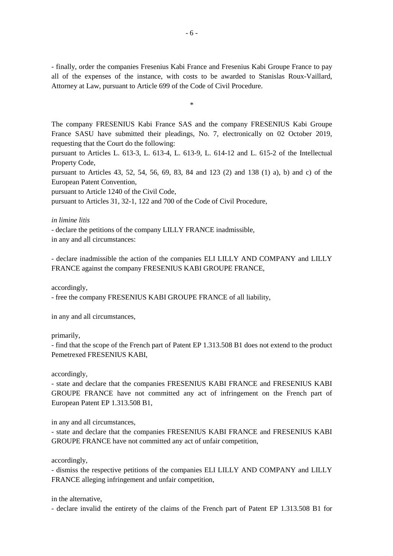- finally, order the companies Fresenius Kabi France and Fresenius Kabi Groupe France to pay all of the expenses of the instance, with costs to be awarded to Stanislas Roux-Vaillard, Attorney at Law, pursuant to Article 699 of the Code of Civil Procedure.

\*

The company FRESENIUS Kabi France SAS and the company FRESENIUS Kabi Groupe France SASU have submitted their pleadings, No. 7, electronically on 02 October 2019, requesting that the Court do the following:

pursuant to Articles L. 613-3, L. 613-4, L. 613-9, L. 614-12 and L. 615-2 of the Intellectual Property Code,

pursuant to Articles 43, 52, 54, 56, 69, 83, 84 and 123 (2) and 138 (1) a), b) and c) of the European Patent Convention,

pursuant to Article 1240 of the Civil Code,

pursuant to Articles 31, 32-1, 122 and 700 of the Code of Civil Procedure,

*in limine litis* 

- declare the petitions of the company LILLY FRANCE inadmissible, in any and all circumstances:

- declare inadmissible the action of the companies ELI LILLY AND COMPANY and LILLY FRANCE against the company FRESENIUS KABI GROUPE FRANCE,

accordingly,

- free the company FRESENIUS KABI GROUPE FRANCE of all liability,

in any and all circumstances,

primarily,

- find that the scope of the French part of Patent EP 1.313.508 B1 does not extend to the product Pemetrexed FRESENIUS KABI,

accordingly,

- state and declare that the companies FRESENIUS KABI FRANCE and FRESENIUS KABI GROUPE FRANCE have not committed any act of infringement on the French part of European Patent EP 1.313.508 B1,

in any and all circumstances,

- state and declare that the companies FRESENIUS KABI FRANCE and FRESENIUS KABI GROUPE FRANCE have not committed any act of unfair competition,

accordingly,

- dismiss the respective petitions of the companies ELI LILLY AND COMPANY and LILLY FRANCE alleging infringement and unfair competition,

in the alternative,

- declare invalid the entirety of the claims of the French part of Patent EP 1.313.508 B1 for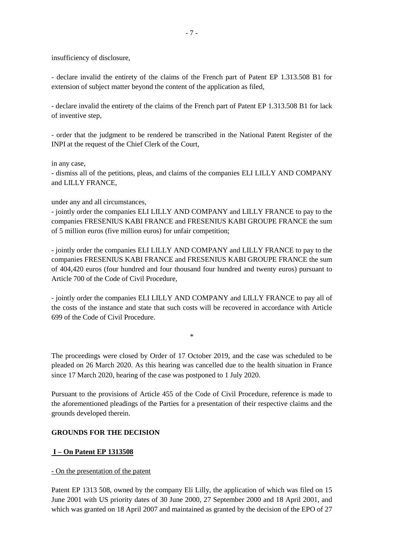insufficiency of disclosure,

- declare invalid the entirety of the claims of the French part of Patent EP 1.313.508 B1 for extension of subject matter beyond the content of the application as filed,

- declare invalid the entirety of the claims of the French part of Patent EP 1.313.508 B1 for lack of inventive step,

- order that the judgment to be rendered be transcribed in the National Patent Register of the INPI at the request of the Chief Clerk of the Court,

in any case,

- dismiss all of the petitions, pleas, and claims of the companies ELI LILLY AND COMPANY and LILLY FRANCE,

under any and all circumstances,

- jointly order the companies ELI LILLY AND COMPANY and LILLY FRANCE to pay to the companies FRESENIUS KABI FRANCE and FRESENIUS KABI GROUPE FRANCE the sum of 5 million euros (five million euros) for unfair competition;

- jointly order the companies ELI LILLY AND COMPANY and LILLY FRANCE to pay to the companies FRESENIUS KABI FRANCE and FRESENIUS KABI GROUPE FRANCE the sum of 404,420 euros (four hundred and four thousand four hundred and twenty euros) pursuant to Article 700 of the Code of Civil Procedure,

- jointly order the companies ELI LILLY AND COMPANY and LILLY FRANCE to pay all of the costs of the instance and state that such costs will be recovered in accordance with Article 699 of the Code of Civil Procedure.

The proceedings were closed by Order of 17 October 2019, and the case was scheduled to be pleaded on 26 March 2020. As this hearing was cancelled due to the health situation in France since 17 March 2020, hearing of the case was postponed to 1 July 2020.

\*

Pursuant to the provisions of Article 455 of the Code of Civil Procedure, reference is made to the aforementioned pleadings of the Parties for a presentation of their respective claims and the grounds developed therein.

# **GROUNDS FOR THE DECISION**

# **I – On Patent EP 1313508**

### - On the presentation of the patent

Patent EP 1313 508, owned by the company Eli Lilly, the application of which was filed on 15 June 2001 with US priority dates of 30 June 2000, 27 September 2000 and 18 April 2001, and which was granted on 18 April 2007 and maintained as granted by the decision of the EPO of 27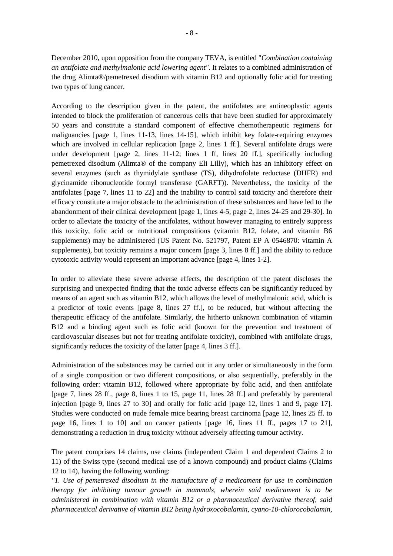December 2010, upon opposition from the company TEVA, is entitled "*Combination containing an antifolate and methylmalonic acid lowering agent".* It relates to a combined administration of the drug Alimta®/pemetrexed disodium with vitamin B12 and optionally folic acid for treating two types of lung cancer.

According to the description given in the patent, the antifolates are antineoplastic agents intended to block the proliferation of cancerous cells that have been studied for approximately 50 years and constitute a standard component of effective chemotherapeutic regimens for malignancies [page 1, lines 11-13, lines 14-15], which inhibit key folate-requiring enzymes which are involved in cellular replication [page 2, lines 1 ff.]. Several antifolate drugs were under development [page 2, lines 11-12; lines 1 ff, lines 20 ff.], specifically including pemetrexed disodium (Alimta® of the company Eli Lilly), which has an inhibitory effect on several enzymes (such as thymidylate synthase (TS), dihydrofolate reductase (DHFR) and glycinamide ribonucleotide formyl transferase (GARFT)). Nevertheless, the toxicity of the antifolates [page 7, lines 11 to 22] and the inability to control said toxicity and therefore their efficacy constitute a major obstacle to the administration of these substances and have led to the abandonment of their clinical development [page 1, lines 4-5, page 2, lines 24-25 and 29-30]. In order to alleviate the toxicity of the antifolates, without however managing to entirely suppress this toxicity, folic acid or nutritional compositions (vitamin B12, folate, and vitamin B6 supplements) may be administered (US Patent No. 521797, Patent EP A 0546870: vitamin A supplements), but toxicity remains a major concern [page 3, lines 8 ff.] and the ability to reduce cytotoxic activity would represent an important advance [page 4, lines 1-2].

In order to alleviate these severe adverse effects, the description of the patent discloses the surprising and unexpected finding that the toxic adverse effects can be significantly reduced by means of an agent such as vitamin B12, which allows the level of methylmalonic acid, which is a predictor of toxic events [page 8, lines 27 ff.], to be reduced, but without affecting the therapeutic efficacy of the antifolate. Similarly, the hitherto unknown combination of vitamin B12 and a binding agent such as folic acid (known for the prevention and treatment of cardiovascular diseases but not for treating antifolate toxicity), combined with antifolate drugs, significantly reduces the toxicity of the latter [page 4, lines 3 ff.].

Administration of the substances may be carried out in any order or simultaneously in the form of a single composition or two different compositions, or also sequentially, preferably in the following order: vitamin B12, followed where appropriate by folic acid, and then antifolate [page 7, lines 28 ff., page 8, lines 1 to 15, page 11, lines 28 ff.] and preferably by parenteral injection [page 9, lines 27 to 30] and orally for folic acid [page 12, lines 1 and 9, page 17]. Studies were conducted on nude female mice bearing breast carcinoma [page 12, lines 25 ff. to page 16, lines 1 to 10] and on cancer patients [page 16, lines 11 ff., pages 17 to 21], demonstrating a reduction in drug toxicity without adversely affecting tumour activity.

The patent comprises 14 claims, use claims (independent Claim 1 and dependent Claims 2 to 11) of the Swiss type (second medical use of a known compound) and product claims (Claims 12 to 14), having the following wording:

*"1. Use of pemetrexed disodium in the manufacture of a medicament for use in combination therapy for inhibiting tumour growth in mammals, wherein said medicament is to be administered in combination with vitamin B12 or a pharmaceutical derivative thereof, said pharmaceutical derivative of vitamin B12 being hydroxocobalamin, cyano-10-chlorocobalamin,*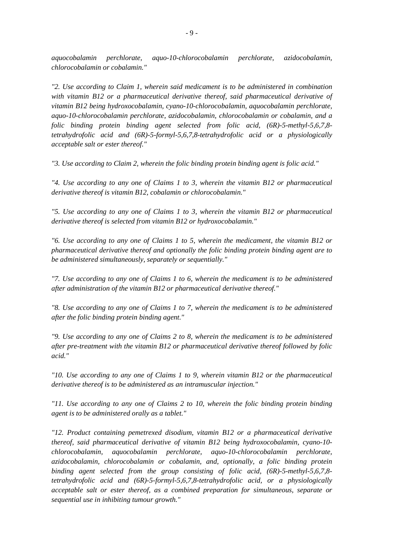*aquocobalamin perchlorate, aquo-10-chlorocobalamin perchlorate, azidocobalamin, chlorocobalamin or cobalamin."* 

*"2. Use according to Claim 1, wherein said medicament is to be administered in combination with vitamin B12 or a pharmaceutical derivative thereof, said pharmaceutical derivative of vitamin B12 being hydroxocobalamin, cyano-10-chlorocobalamin, aquocobalamin perchlorate, aquo-10-chlorocobalamin perchlorate, azidocobalamin, chlorocobalamin or cobalamin, and a folic binding protein binding agent selected from folic acid, (6R)-5-methyl-5,6,7,8 tetrahydrofolic acid and (6R)-5-formyl-5,6,7,8-tetrahydrofolic acid or a physiologically acceptable salt or ester thereof."* 

*"3. Use according to Claim 2, wherein the folic binding protein binding agent is folic acid."* 

*"4. Use according to any one of Claims 1 to 3, wherein the vitamin B12 or pharmaceutical derivative thereof is vitamin B12, cobalamin or chlorocobalamin."* 

*"5. Use according to any one of Claims 1 to 3, wherein the vitamin B12 or pharmaceutical derivative thereof is selected from vitamin B12 or hydroxocobalamin."* 

*"6. Use according to any one of Claims 1 to 5, wherein the medicament, the vitamin B12 or pharmaceutical derivative thereof and optionally the folic binding protein binding agent are to be administered simultaneously, separately or sequentially."* 

*"7. Use according to any one of Claims 1 to 6, wherein the medicament is to be administered after administration of the vitamin B12 or pharmaceutical derivative thereof."* 

*"8. Use according to any one of Claims 1 to 7, wherein the medicament is to be administered after the folic binding protein binding agent."* 

*"9. Use according to any one of Claims 2 to 8, wherein the medicament is to be administered after pre-treatment with the vitamin B12 or pharmaceutical derivative thereof followed by folic acid."* 

*"10. Use according to any one of Claims 1 to 9, wherein vitamin B12 or the pharmaceutical derivative thereof is to be administered as an intramuscular injection."* 

*"11. Use according to any one of Claims 2 to 10, wherein the folic binding protein binding agent is to be administered orally as a tablet."* 

*"12. Product containing pemetrexed disodium, vitamin B12 or a pharmaceutical derivative thereof, said pharmaceutical derivative of vitamin B12 being hydroxocobalamin, cyano-10 chlorocobalamin, aquocobalamin perchlorate, aquo-10-chlorocobalamin perchlorate, azidocobalamin, chlorocobalamin or cobalamin, and, optionally, a folic binding protein binding agent selected from the group consisting of folic acid, (6R)-5-methyl-5,6,7,8 tetrahydrofolic acid and (6R)-5-formyl-5,6,7,8-tetrahydrofolic acid, or a physiologically acceptable salt or ester thereof, as a combined preparation for simultaneous, separate or sequential use in inhibiting tumour growth."*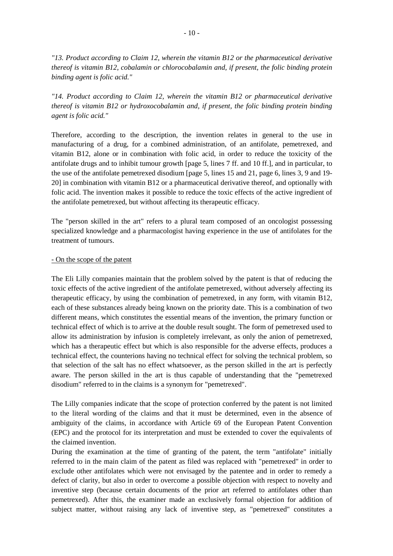*"13. Product according to Claim 12, wherein the vitamin B12 or the pharmaceutical derivative thereof is vitamin B12, cobalamin or chlorocobalamin and, if present, the folic binding protein binding agent is folic acid."* 

*"14. Product according to Claim 12, wherein the vitamin B12 or pharmaceutical derivative thereof is vitamin B12 or hydroxocobalamin and, if present, the folic binding protein binding agent is folic acid."* 

Therefore, according to the description, the invention relates in general to the use in manufacturing of a drug, for a combined administration, of an antifolate, pemetrexed, and vitamin B12, alone or in combination with folic acid, in order to reduce the toxicity of the antifolate drugs and to inhibit tumour growth [page 5, lines 7 ff. and 10 ff.], and in particular, to the use of the antifolate pemetrexed disodium [page 5, lines 15 and 21, page 6, lines 3, 9 and 19- 20] in combination with vitamin B12 or a pharmaceutical derivative thereof, and optionally with folic acid. The invention makes it possible to reduce the toxic effects of the active ingredient of the antifolate pemetrexed, but without affecting its therapeutic efficacy.

The "person skilled in the art" refers to a plural team composed of an oncologist possessing specialized knowledge and a pharmacologist having experience in the use of antifolates for the treatment of tumours.

#### - On the scope of the patent

The Eli Lilly companies maintain that the problem solved by the patent is that of reducing the toxic effects of the active ingredient of the antifolate pemetrexed, without adversely affecting its therapeutic efficacy, by using the combination of pemetrexed, in any form, with vitamin B12, each of these substances already being known on the priority date. This is a combination of two different means, which constitutes the essential means of the invention, the primary function or technical effect of which is to arrive at the double result sought. The form of pemetrexed used to allow its administration by infusion is completely irrelevant, as only the anion of pemetrexed, which has a therapeutic effect but which is also responsible for the adverse effects, produces a technical effect, the counterions having no technical effect for solving the technical problem, so that selection of the salt has no effect whatsoever, as the person skilled in the art is perfectly aware. The person skilled in the art is thus capable of understanding that the "pemetrexed disodium" referred to in the claims is a synonym for "pemetrexed".

The Lilly companies indicate that the scope of protection conferred by the patent is not limited to the literal wording of the claims and that it must be determined, even in the absence of ambiguity of the claims, in accordance with Article 69 of the European Patent Convention (EPC) and the protocol for its interpretation and must be extended to cover the equivalents of the claimed invention.

During the examination at the time of granting of the patent, the term "antifolate" initially referred to in the main claim of the patent as filed was replaced with "pemetrexed" in order to exclude other antifolates which were not envisaged by the patentee and in order to remedy a defect of clarity, but also in order to overcome a possible objection with respect to novelty and inventive step (because certain documents of the prior art referred to antifolates other than pemetrexed). After this, the examiner made an exclusively formal objection for addition of subject matter, without raising any lack of inventive step, as "pemetrexed" constitutes a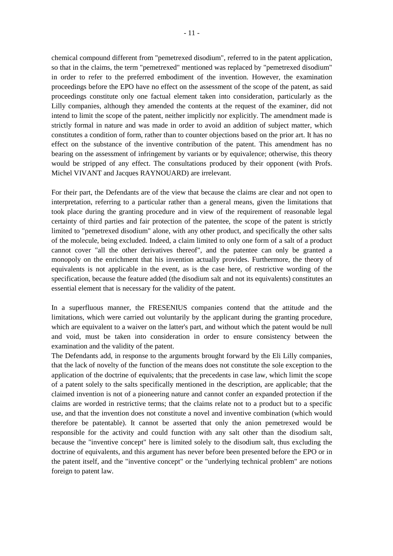chemical compound different from "pemetrexed disodium", referred to in the patent application, so that in the claims, the term "pemetrexed" mentioned was replaced by "pemetrexed disodium" in order to refer to the preferred embodiment of the invention. However, the examination proceedings before the EPO have no effect on the assessment of the scope of the patent, as said proceedings constitute only one factual element taken into consideration, particularly as the Lilly companies, although they amended the contents at the request of the examiner, did not intend to limit the scope of the patent, neither implicitly nor explicitly. The amendment made is strictly formal in nature and was made in order to avoid an addition of subject matter, which constitutes a condition of form, rather than to counter objections based on the prior art. It has no effect on the substance of the inventive contribution of the patent. This amendment has no bearing on the assessment of infringement by variants or by equivalence; otherwise, this theory would be stripped of any effect. The consultations produced by their opponent (with Profs. Michel VIVANT and Jacques RAYNOUARD) are irrelevant.

For their part, the Defendants are of the view that because the claims are clear and not open to interpretation, referring to a particular rather than a general means, given the limitations that took place during the granting procedure and in view of the requirement of reasonable legal certainty of third parties and fair protection of the patentee, the scope of the patent is strictly limited to "pemetrexed disodium" alone, with any other product, and specifically the other salts of the molecule, being excluded. Indeed, a claim limited to only one form of a salt of a product cannot cover "all the other derivatives thereof", and the patentee can only be granted a monopoly on the enrichment that his invention actually provides. Furthermore, the theory of equivalents is not applicable in the event, as is the case here, of restrictive wording of the specification, because the feature added (the disodium salt and not its equivalents) constitutes an essential element that is necessary for the validity of the patent.

In a superfluous manner, the FRESENIUS companies contend that the attitude and the limitations, which were carried out voluntarily by the applicant during the granting procedure, which are equivalent to a waiver on the latter's part, and without which the patent would be null and void, must be taken into consideration in order to ensure consistency between the examination and the validity of the patent.

The Defendants add, in response to the arguments brought forward by the Eli Lilly companies, that the lack of novelty of the function of the means does not constitute the sole exception to the application of the doctrine of equivalents; that the precedents in case law, which limit the scope of a patent solely to the salts specifically mentioned in the description, are applicable; that the claimed invention is not of a pioneering nature and cannot confer an expanded protection if the claims are worded in restrictive terms; that the claims relate not to a product but to a specific use, and that the invention does not constitute a novel and inventive combination (which would therefore be patentable). It cannot be asserted that only the anion pemetrexed would be responsible for the activity and could function with any salt other than the disodium salt, because the "inventive concept" here is limited solely to the disodium salt, thus excluding the doctrine of equivalents, and this argument has never before been presented before the EPO or in the patent itself, and the "inventive concept" or the "underlying technical problem" are notions foreign to patent law.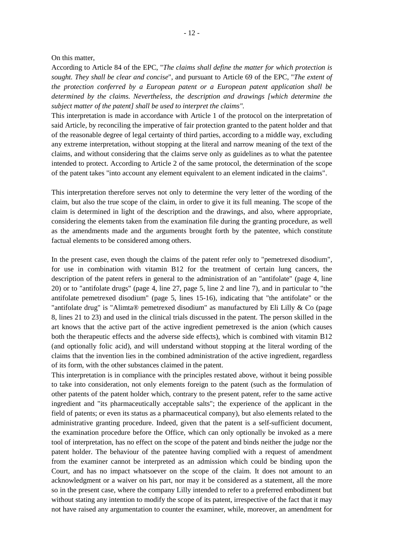#### On this matter,

According to Article 84 of the EPC, "*The claims shall define the matter for which protection is sought. They shall be clear and concise*", and pursuant to Article 69 of the EPC, "*The extent of the protection conferred by a European patent or a European patent application shall be determined by the claims. Nevertheless, the description and drawings [which determine the subject matter of the patent] shall be used to interpret the claims".*

This interpretation is made in accordance with Article 1 of the protocol on the interpretation of said Article, by reconciling the imperative of fair protection granted to the patent holder and that of the reasonable degree of legal certainty of third parties, according to a middle way, excluding any extreme interpretation, without stopping at the literal and narrow meaning of the text of the claims, and without considering that the claims serve only as guidelines as to what the patentee intended to protect. According to Article 2 of the same protocol, the determination of the scope of the patent takes "into account any element equivalent to an element indicated in the claims".

This interpretation therefore serves not only to determine the very letter of the wording of the claim, but also the true scope of the claim, in order to give it its full meaning. The scope of the claim is determined in light of the description and the drawings, and also, where appropriate, considering the elements taken from the examination file during the granting procedure, as well as the amendments made and the arguments brought forth by the patentee, which constitute factual elements to be considered among others.

In the present case, even though the claims of the patent refer only to "pemetrexed disodium", for use in combination with vitamin B12 for the treatment of certain lung cancers, the description of the patent refers in general to the administration of an "antifolate" (page 4, line 20) or to "antifolate drugs" (page 4, line 27, page 5, line 2 and line 7), and in particular to "the antifolate pemetrexed disodium" (page 5, lines 15-16), indicating that "the antifolate" or the "antifolate drug" is "Alimta® pemetrexed disodium" as manufactured by Eli Lilly & Co (page 8, lines 21 to 23) and used in the clinical trials discussed in the patent. The person skilled in the art knows that the active part of the active ingredient pemetrexed is the anion (which causes both the therapeutic effects and the adverse side effects), which is combined with vitamin B12 (and optionally folic acid), and will understand without stopping at the literal wording of the claims that the invention lies in the combined administration of the active ingredient, regardless of its form, with the other substances claimed in the patent.

This interpretation is in compliance with the principles restated above, without it being possible to take into consideration, not only elements foreign to the patent (such as the formulation of other patents of the patent holder which, contrary to the present patent, refer to the same active ingredient and "its pharmaceutically acceptable salts"; the experience of the applicant in the field of patents; or even its status as a pharmaceutical company), but also elements related to the administrative granting procedure. Indeed, given that the patent is a self-sufficient document, the examination procedure before the Office, which can only optionally be invoked as a mere tool of interpretation, has no effect on the scope of the patent and binds neither the judge nor the patent holder. The behaviour of the patentee having complied with a request of amendment from the examiner cannot be interpreted as an admission which could be binding upon the Court, and has no impact whatsoever on the scope of the claim. It does not amount to an acknowledgment or a waiver on his part, nor may it be considered as a statement, all the more so in the present case, where the company Lilly intended to refer to a preferred embodiment but without stating any intention to modify the scope of its patent, irrespective of the fact that it may not have raised any argumentation to counter the examiner, while, moreover, an amendment for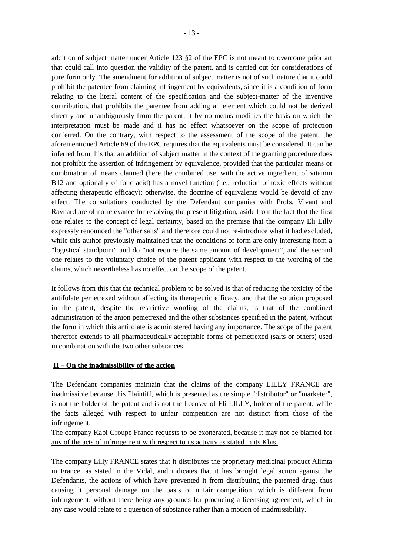addition of subject matter under Article 123 §2 of the EPC is not meant to overcome prior art that could call into question the validity of the patent, and is carried out for considerations of pure form only. The amendment for addition of subject matter is not of such nature that it could prohibit the patentee from claiming infringement by equivalents, since it is a condition of form relating to the literal content of the specification and the subject-matter of the inventive contribution, that prohibits the patentee from adding an element which could not be derived directly and unambiguously from the patent; it by no means modifies the basis on which the interpretation must be made and it has no effect whatsoever on the scope of protection conferred. On the contrary, with respect to the assessment of the scope of the patent, the aforementioned Article 69 of the EPC requires that the equivalents must be considered. It can be inferred from this that an addition of subject matter in the context of the granting procedure does not prohibit the assertion of infringement by equivalence, provided that the particular means or combination of means claimed (here the combined use, with the active ingredient, of vitamin B12 and optionally of folic acid) has a novel function (i.e., reduction of toxic effects without affecting therapeutic efficacy); otherwise, the doctrine of equivalents would be devoid of any effect. The consultations conducted by the Defendant companies with Profs. Vivant and Raynard are of no relevance for resolving the present litigation, aside from the fact that the first one relates to the concept of legal certainty, based on the premise that the company Eli Lilly expressly renounced the "other salts" and therefore could not re-introduce what it had excluded, while this author previously maintained that the conditions of form are only interesting from a "logistical standpoint" and do "not require the same amount of development", and the second one relates to the voluntary choice of the patent applicant with respect to the wording of the claims, which nevertheless has no effect on the scope of the patent.

It follows from this that the technical problem to be solved is that of reducing the toxicity of the antifolate pemetrexed without affecting its therapeutic efficacy, and that the solution proposed in the patent, despite the restrictive wording of the claims, is that of the combined administration of the anion pemetrexed and the other substances specified in the patent, without the form in which this antifolate is administered having any importance. The scope of the patent therefore extends to all pharmaceutically acceptable forms of pemetrexed (salts or others) used in combination with the two other substances.

### **II – On the inadmissibility of the action**

The Defendant companies maintain that the claims of the company LILLY FRANCE are inadmissible because this Plaintiff, which is presented as the simple "distributor" or "marketer", is not the holder of the patent and is not the licensee of Eli LILLY, holder of the patent, while the facts alleged with respect to unfair competition are not distinct from those of the infringement.

The company Kabi Groupe France requests to be exonerated, because it may not be blamed for any of the acts of infringement with respect to its activity as stated in its Kbis.

The company Lilly FRANCE states that it distributes the proprietary medicinal product Alimta in France, as stated in the Vidal, and indicates that it has brought legal action against the Defendants, the actions of which have prevented it from distributing the patented drug, thus causing it personal damage on the basis of unfair competition, which is different from infringement, without there being any grounds for producing a licensing agreement, which in any case would relate to a question of substance rather than a motion of inadmissibility.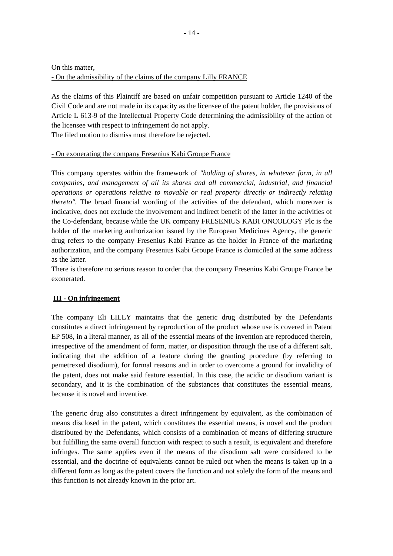On this matter, - On the admissibility of the claims of the company Lilly FRANCE

As the claims of this Plaintiff are based on unfair competition pursuant to Article 1240 of the Civil Code and are not made in its capacity as the licensee of the patent holder, the provisions of Article L 613-9 of the Intellectual Property Code determining the admissibility of the action of the licensee with respect to infringement do not apply.

The filed motion to dismiss must therefore be rejected.

# - On exonerating the company Fresenius Kabi Groupe France

This company operates within the framework of *"holding of shares, in whatever form, in all companies, and management of all its shares and all commercial, industrial, and financial operations or operations relative to movable or real property directly or indirectly relating thereto"*. The broad financial wording of the activities of the defendant, which moreover is indicative, does not exclude the involvement and indirect benefit of the latter in the activities of the Co-defendant, because while the UK company FRESENIUS KABI ONCOLOGY Plc is the holder of the marketing authorization issued by the European Medicines Agency, the generic drug refers to the company Fresenius Kabi France as the holder in France of the marketing authorization, and the company Fresenius Kabi Groupe France is domiciled at the same address as the latter.

There is therefore no serious reason to order that the company Fresenius Kabi Groupe France be exonerated.

# **III - On infringement**

The company Eli LILLY maintains that the generic drug distributed by the Defendants constitutes a direct infringement by reproduction of the product whose use is covered in Patent EP 508, in a literal manner, as all of the essential means of the invention are reproduced therein, irrespective of the amendment of form, matter, or disposition through the use of a different salt, indicating that the addition of a feature during the granting procedure (by referring to pemetrexed disodium), for formal reasons and in order to overcome a ground for invalidity of the patent, does not make said feature essential. In this case, the acidic or disodium variant is secondary, and it is the combination of the substances that constitutes the essential means, because it is novel and inventive.

The generic drug also constitutes a direct infringement by equivalent, as the combination of means disclosed in the patent, which constitutes the essential means, is novel and the product distributed by the Defendants, which consists of a combination of means of differing structure but fulfilling the same overall function with respect to such a result, is equivalent and therefore infringes. The same applies even if the means of the disodium salt were considered to be essential, and the doctrine of equivalents cannot be ruled out when the means is taken up in a different form as long as the patent covers the function and not solely the form of the means and this function is not already known in the prior art.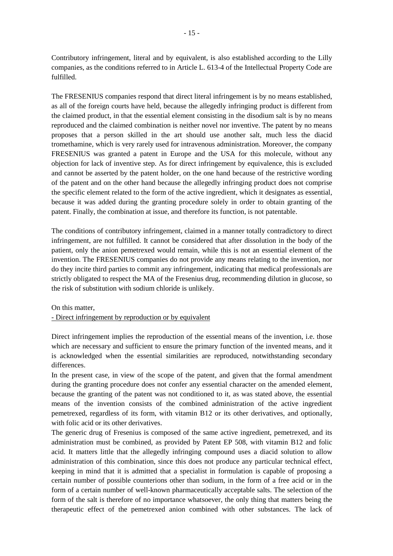Contributory infringement, literal and by equivalent, is also established according to the Lilly companies, as the conditions referred to in Article L. 613-4 of the Intellectual Property Code are fulfilled.

The FRESENIUS companies respond that direct literal infringement is by no means established, as all of the foreign courts have held, because the allegedly infringing product is different from the claimed product, in that the essential element consisting in the disodium salt is by no means reproduced and the claimed combination is neither novel nor inventive. The patent by no means proposes that a person skilled in the art should use another salt, much less the diacid tromethamine, which is very rarely used for intravenous administration. Moreover, the company FRESENIUS was granted a patent in Europe and the USA for this molecule, without any objection for lack of inventive step. As for direct infringement by equivalence, this is excluded and cannot be asserted by the patent holder, on the one hand because of the restrictive wording of the patent and on the other hand because the allegedly infringing product does not comprise the specific element related to the form of the active ingredient, which it designates as essential, because it was added during the granting procedure solely in order to obtain granting of the patent. Finally, the combination at issue, and therefore its function, is not patentable.

The conditions of contributory infringement, claimed in a manner totally contradictory to direct infringement, are not fulfilled. It cannot be considered that after dissolution in the body of the patient, only the anion pemetrexed would remain, while this is not an essential element of the invention. The FRESENIUS companies do not provide any means relating to the invention, nor do they incite third parties to commit any infringement, indicating that medical professionals are strictly obligated to respect the MA of the Fresenius drug, recommending dilution in glucose, so the risk of substitution with sodium chloride is unlikely.

#### On this matter,

### - Direct infringement by reproduction or by equivalent

Direct infringement implies the reproduction of the essential means of the invention, i.e. those which are necessary and sufficient to ensure the primary function of the invented means, and it is acknowledged when the essential similarities are reproduced, notwithstanding secondary differences.

In the present case, in view of the scope of the patent, and given that the formal amendment during the granting procedure does not confer any essential character on the amended element, because the granting of the patent was not conditioned to it, as was stated above, the essential means of the invention consists of the combined administration of the active ingredient pemetrexed, regardless of its form, with vitamin B12 or its other derivatives, and optionally, with folic acid or its other derivatives.

The generic drug of Fresenius is composed of the same active ingredient, pemetrexed, and its administration must be combined, as provided by Patent EP 508, with vitamin B12 and folic acid. It matters little that the allegedly infringing compound uses a diacid solution to allow administration of this combination, since this does not produce any particular technical effect, keeping in mind that it is admitted that a specialist in formulation is capable of proposing a certain number of possible counterions other than sodium, in the form of a free acid or in the form of a certain number of well-known pharmaceutically acceptable salts. The selection of the form of the salt is therefore of no importance whatsoever, the only thing that matters being the therapeutic effect of the pemetrexed anion combined with other substances. The lack of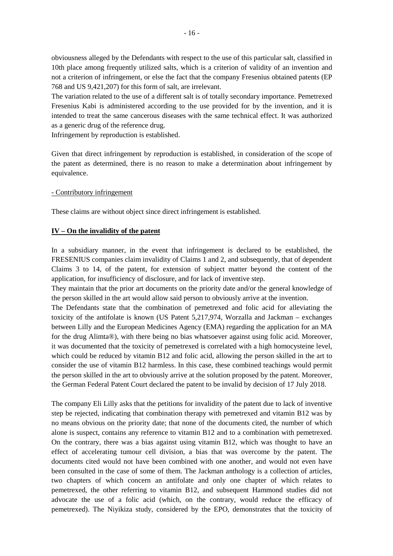obviousness alleged by the Defendants with respect to the use of this particular salt, classified in 10th place among frequently utilized salts, which is a criterion of validity of an invention and not a criterion of infringement, or else the fact that the company Fresenius obtained patents (EP 768 and US 9,421,207) for this form of salt, are irrelevant.

The variation related to the use of a different salt is of totally secondary importance. Pemetrexed Fresenius Kabi is administered according to the use provided for by the invention, and it is intended to treat the same cancerous diseases with the same technical effect. It was authorized as a generic drug of the reference drug.

Infringement by reproduction is established.

Given that direct infringement by reproduction is established, in consideration of the scope of the patent as determined, there is no reason to make a determination about infringement by equivalence.

#### - Contributory infringement

These claims are without object since direct infringement is established.

### **IV – On the invalidity of the patent**

In a subsidiary manner, in the event that infringement is declared to be established, the FRESENIUS companies claim invalidity of Claims 1 and 2, and subsequently, that of dependent Claims 3 to 14, of the patent, for extension of subject matter beyond the content of the application, for insufficiency of disclosure, and for lack of inventive step.

They maintain that the prior art documents on the priority date and/or the general knowledge of the person skilled in the art would allow said person to obviously arrive at the invention.

The Defendants state that the combination of pemetrexed and folic acid for alleviating the toxicity of the antifolate is known (US Patent 5,217,974, Worzalla and Jackman – exchanges between Lilly and the European Medicines Agency (EMA) regarding the application for an MA for the drug Alimta®), with there being no bias whatsoever against using folic acid. Moreover, it was documented that the toxicity of pemetrexed is correlated with a high homocysteine level, which could be reduced by vitamin B12 and folic acid, allowing the person skilled in the art to consider the use of vitamin B12 harmless. In this case, these combined teachings would permit the person skilled in the art to obviously arrive at the solution proposed by the patent. Moreover, the German Federal Patent Court declared the patent to be invalid by decision of 17 July 2018.

The company Eli Lilly asks that the petitions for invalidity of the patent due to lack of inventive step be rejected, indicating that combination therapy with pemetrexed and vitamin B12 was by no means obvious on the priority date; that none of the documents cited, the number of which alone is suspect, contains any reference to vitamin B12 and to a combination with pemetrexed. On the contrary, there was a bias against using vitamin B12, which was thought to have an effect of accelerating tumour cell division, a bias that was overcome by the patent. The documents cited would not have been combined with one another, and would not even have been consulted in the case of some of them. The Jackman anthology is a collection of articles, two chapters of which concern an antifolate and only one chapter of which relates to pemetrexed, the other referring to vitamin B12, and subsequent Hammond studies did not advocate the use of a folic acid (which, on the contrary, would reduce the efficacy of pemetrexed). The Niyikiza study, considered by the EPO, demonstrates that the toxicity of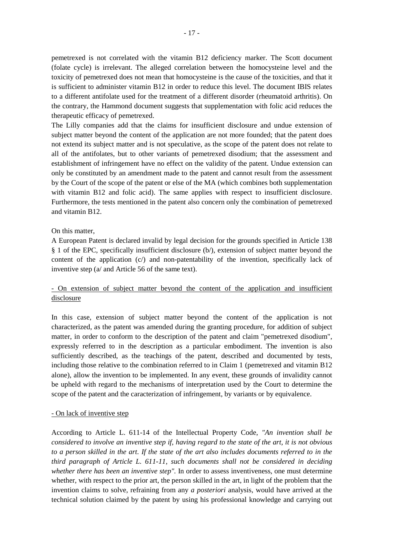pemetrexed is not correlated with the vitamin B12 deficiency marker. The Scott document (folate cycle) is irrelevant. The alleged correlation between the homocysteine level and the toxicity of pemetrexed does not mean that homocysteine is the cause of the toxicities, and that it is sufficient to administer vitamin B12 in order to reduce this level. The document IBIS relates to a different antifolate used for the treatment of a different disorder (rheumatoid arthritis). On the contrary, the Hammond document suggests that supplementation with folic acid reduces the therapeutic efficacy of pemetrexed.

The Lilly companies add that the claims for insufficient disclosure and undue extension of subject matter beyond the content of the application are not more founded; that the patent does not extend its subject matter and is not speculative, as the scope of the patent does not relate to all of the antifolates, but to other variants of pemetrexed disodium; that the assessment and establishment of infringement have no effect on the validity of the patent. Undue extension can only be constituted by an amendment made to the patent and cannot result from the assessment by the Court of the scope of the patent or else of the MA (which combines both supplementation with vitamin B12 and folic acid). The same applies with respect to insufficient disclosure. Furthermore, the tests mentioned in the patent also concern only the combination of pemetrexed and vitamin B12.

### On this matter,

A European Patent is declared invalid by legal decision for the grounds specified in Article 138 § 1 of the EPC, specifically insufficient disclosure (b/), extension of subject matter beyond the content of the application  $(c)$  and non-patentability of the invention, specifically lack of inventive step (a/ and Article 56 of the same text).

# - On extension of subject matter beyond the content of the application and insufficient disclosure

In this case, extension of subject matter beyond the content of the application is not characterized, as the patent was amended during the granting procedure, for addition of subject matter, in order to conform to the description of the patent and claim "pemetrexed disodium", expressly referred to in the description as a particular embodiment. The invention is also sufficiently described, as the teachings of the patent, described and documented by tests, including those relative to the combination referred to in Claim 1 (pemetrexed and vitamin B12 alone), allow the invention to be implemented. In any event, these grounds of invalidity cannot be upheld with regard to the mechanisms of interpretation used by the Court to determine the scope of the patent and the caracterization of infringement, by variants or by equivalence.

#### - On lack of inventive step

According to Article L. 611-14 of the Intellectual Property Code, *"An invention shall be considered to involve an inventive step if, having regard to the state of the art, it is not obvious to a person skilled in the art. If the state of the art also includes documents referred to in the third paragraph of Article L. 611-11, such documents shall not be considered in deciding whether there has been an inventive step".* In order to assess inventiveness, one must determine whether, with respect to the prior art, the person skilled in the art, in light of the problem that the invention claims to solve, refraining from any *a posteriori* analysis, would have arrived at the technical solution claimed by the patent by using his professional knowledge and carrying out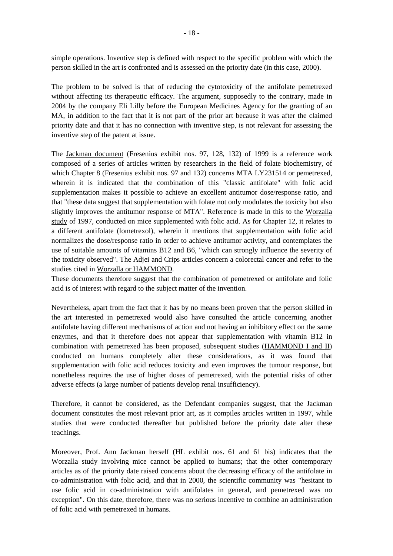simple operations. Inventive step is defined with respect to the specific problem with which the person skilled in the art is confronted and is assessed on the priority date (in this case, 2000).

The problem to be solved is that of reducing the cytotoxicity of the antifolate pemetrexed without affecting its therapeutic efficacy. The argument, supposedly to the contrary, made in 2004 by the company Eli Lilly before the European Medicines Agency for the granting of an MA, in addition to the fact that it is not part of the prior art because it was after the claimed priority date and that it has no connection with inventive step, is not relevant for assessing the inventive step of the patent at issue.

The Jackman document (Fresenius exhibit nos. 97, 128, 132) of 1999 is a reference work composed of a series of articles written by researchers in the field of folate biochemistry, of which Chapter 8 (Fresenius exhibit nos. 97 and 132) concerns MTA LY231514 or pemetrexed, wherein it is indicated that the combination of this "classic antifolate" with folic acid supplementation makes it possible to achieve an excellent antitumor dose/response ratio, and that "these data suggest that supplementation with folate not only modulates the toxicity but also slightly improves the antitumor response of MTA". Reference is made in this to the Worzalla study of 1997, conducted on mice supplemented with folic acid. As for Chapter 12, it relates to a different antifolate (lometrexol), wherein it mentions that supplementation with folic acid normalizes the dose/response ratio in order to achieve antitumor activity, and contemplates the use of suitable amounts of vitamins B12 and B6, "which can strongly influence the severity of the toxicity observed". The Adjei and Crips articles concern a colorectal cancer and refer to the studies cited in Worzalla or HAMMOND.

These documents therefore suggest that the combination of pemetrexed or antifolate and folic acid is of interest with regard to the subject matter of the invention.

Nevertheless, apart from the fact that it has by no means been proven that the person skilled in the art interested in pemetrexed would also have consulted the article concerning another antifolate having different mechanisms of action and not having an inhibitory effect on the same enzymes, and that it therefore does not appear that supplementation with vitamin B12 in combination with pemetrexed has been proposed, subsequent studies (HAMMOND I and II) conducted on humans completely alter these considerations, as it was found that supplementation with folic acid reduces toxicity and even improves the tumour response, but nonetheless requires the use of higher doses of pemetrexed, with the potential risks of other adverse effects (a large number of patients develop renal insufficiency).

Therefore, it cannot be considered, as the Defendant companies suggest, that the Jackman document constitutes the most relevant prior art, as it compiles articles written in 1997, while studies that were conducted thereafter but published before the priority date alter these teachings.

Moreover, Prof. Ann Jackman herself (HL exhibit nos. 61 and 61 bis) indicates that the Worzalla study involving mice cannot be applied to humans; that the other contemporary articles as of the priority date raised concerns about the decreasing efficacy of the antifolate in co-administration with folic acid, and that in 2000, the scientific community was "hesitant to use folic acid in co-administration with antifolates in general, and pemetrexed was no exception". On this date, therefore, there was no serious incentive to combine an administration of folic acid with pemetrexed in humans.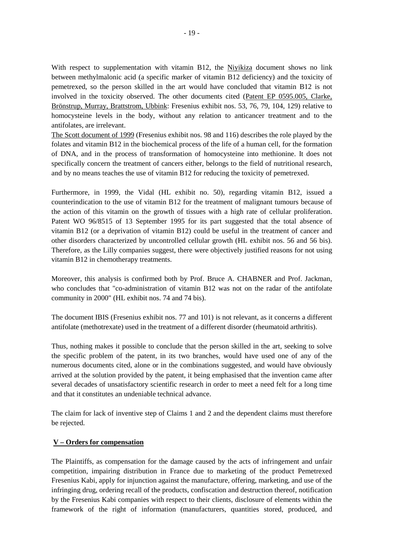With respect to supplementation with vitamin B12, the Niyikiza document shows no link between methylmalonic acid (a specific marker of vitamin B12 deficiency) and the toxicity of pemetrexed, so the person skilled in the art would have concluded that vitamin B12 is not involved in the toxicity observed. The other documents cited (Patent EP 0595.005, Clarke, Brönstrup, Murray, Brattstrom, Ubbink: Fresenius exhibit nos. 53, 76, 79, 104, 129) relative to homocysteine levels in the body, without any relation to anticancer treatment and to the antifolates, are irrelevant.

The Scott document of 1999 (Fresenius exhibit nos. 98 and 116) describes the role played by the folates and vitamin B12 in the biochemical process of the life of a human cell, for the formation of DNA, and in the process of transformation of homocysteine into methionine. It does not specifically concern the treatment of cancers either, belongs to the field of nutritional research, and by no means teaches the use of vitamin B12 for reducing the toxicity of pemetrexed.

Furthermore, in 1999, the Vidal (HL exhibit no. 50), regarding vitamin B12, issued a counterindication to the use of vitamin B12 for the treatment of malignant tumours because of the action of this vitamin on the growth of tissues with a high rate of cellular proliferation. Patent WO 96/8515 of 13 September 1995 for its part suggested that the total absence of vitamin B12 (or a deprivation of vitamin B12) could be useful in the treatment of cancer and other disorders characterized by uncontrolled cellular growth (HL exhibit nos. 56 and 56 bis). Therefore, as the Lilly companies suggest, there were objectively justified reasons for not using vitamin B12 in chemotherapy treatments.

Moreover, this analysis is confirmed both by Prof. Bruce A. CHABNER and Prof. Jackman, who concludes that "co-administration of vitamin B12 was not on the radar of the antifolate community in 2000" (HL exhibit nos. 74 and 74 bis).

The document IBIS (Fresenius exhibit nos. 77 and 101) is not relevant, as it concerns a different antifolate (methotrexate) used in the treatment of a different disorder (rheumatoid arthritis).

Thus, nothing makes it possible to conclude that the person skilled in the art, seeking to solve the specific problem of the patent, in its two branches, would have used one of any of the numerous documents cited, alone or in the combinations suggested, and would have obviously arrived at the solution provided by the patent, it being emphasised that the invention came after several decades of unsatisfactory scientific research in order to meet a need felt for a long time and that it constitutes an undeniable technical advance.

The claim for lack of inventive step of Claims 1 and 2 and the dependent claims must therefore be rejected.

# **V – Orders for compensation**

The Plaintiffs, as compensation for the damage caused by the acts of infringement and unfair competition, impairing distribution in France due to marketing of the product Pemetrexed Fresenius Kabi, apply for injunction against the manufacture, offering, marketing, and use of the infringing drug, ordering recall of the products, confiscation and destruction thereof, notification by the Fresenius Kabi companies with respect to their clients, disclosure of elements within the framework of the right of information (manufacturers, quantities stored, produced, and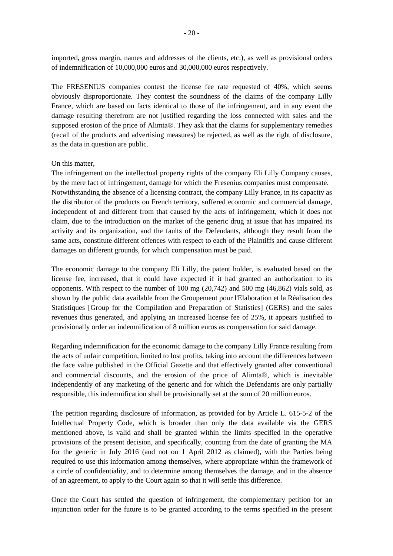imported, gross margin, names and addresses of the clients, etc.), as well as provisional orders of indemnification of 10,000,000 euros and 30,000,000 euros respectively.

The FRESENIUS companies contest the license fee rate requested of 40%, which seems obviously disproportionate. They contest the soundness of the claims of the company Lilly France, which are based on facts identical to those of the infringement, and in any event the damage resulting therefrom are not justified regarding the loss connected with sales and the supposed erosion of the price of Alimta®. They ask that the claims for supplementary remedies (recall of the products and advertising measures) be rejected, as well as the right of disclosure, as the data in question are public.

#### On this matter,

The infringement on the intellectual property rights of the company Eli Lilly Company causes, by the mere fact of infringement, damage for which the Fresenius companies must compensate. Notwithstanding the absence of a licensing contract, the company Lilly France, in its capacity as the distributor of the products on French territory, suffered economic and commercial damage, independent of and different from that caused by the acts of infringement, which it does not claim, due to the introduction on the market of the generic drug at issue that has impaired its activity and its organization, and the faults of the Defendants, although they result from the same acts, constitute different offences with respect to each of the Plaintiffs and cause different damages on different grounds, for which compensation must be paid.

The economic damage to the company Eli Lilly, the patent holder, is evaluated based on the license fee, increased, that it could have expected if it had granted an authorization to its opponents. With respect to the number of  $100 \text{ mg } (20,742)$  and  $500 \text{ mg } (46,862)$  vials sold, as shown by the public data available from the Groupement pour l'Elaboration et la Réalisation des Statistiques [Group for the Compilation and Preparation of Statistics] (GERS) and the sales revenues thus generated, and applying an increased license fee of 25%, it appears justified to provisionally order an indemnification of 8 million euros as compensation for said damage.

Regarding indemnification for the economic damage to the company Lilly France resulting from the acts of unfair competition, limited to lost profits, taking into account the differences between the face value published in the Official Gazette and that effectively granted after conventional and commercial discounts, and the erosion of the price of Alimta®, which is inevitable independently of any marketing of the generic and for which the Defendants are only partially responsible, this indemnification shall be provisionally set at the sum of 20 million euros.

The petition regarding disclosure of information, as provided for by Article L. 615-5-2 of the Intellectual Property Code, which is broader than only the data available via the GERS mentioned above, is valid and shall be granted within the limits specified in the operative provisions of the present decision, and specifically, counting from the date of granting the MA for the generic in July 2016 (and not on 1 April 2012 as claimed), with the Parties being required to use this information among themselves, where appropriate within the framework of a circle of confidentiality, and to determine among themselves the damage, and in the absence of an agreement, to apply to the Court again so that it will settle this difference.

Once the Court has settled the question of infringement, the complementary petition for an injunction order for the future is to be granted according to the terms specified in the present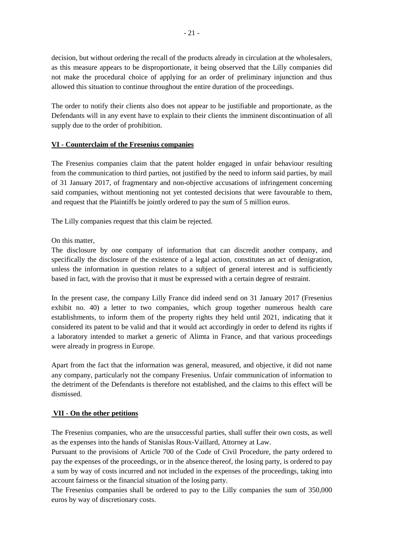decision, but without ordering the recall of the products already in circulation at the wholesalers, as this measure appears to be disproportionate, it being observed that the Lilly companies did not make the procedural choice of applying for an order of preliminary injunction and thus allowed this situation to continue throughout the entire duration of the proceedings.

The order to notify their clients also does not appear to be justifiable and proportionate, as the Defendants will in any event have to explain to their clients the imminent discontinuation of all supply due to the order of prohibition.

# **VI - Counterclaim of the Fresenius companies**

The Fresenius companies claim that the patent holder engaged in unfair behaviour resulting from the communication to third parties, not justified by the need to inform said parties, by mail of 31 January 2017, of fragmentary and non-objective accusations of infringement concerning said companies, without mentioning not yet contested decisions that were favourable to them, and request that the Plaintiffs be jointly ordered to pay the sum of 5 million euros.

The Lilly companies request that this claim be rejected.

On this matter,

The disclosure by one company of information that can discredit another company, and specifically the disclosure of the existence of a legal action, constitutes an act of denigration, unless the information in question relates to a subject of general interest and is sufficiently based in fact, with the proviso that it must be expressed with a certain degree of restraint.

In the present case, the company Lilly France did indeed send on 31 January 2017 (Fresenius exhibit no. 40) a letter to two companies, which group together numerous health care establishments, to inform them of the property rights they held until 2021, indicating that it considered its patent to be valid and that it would act accordingly in order to defend its rights if a laboratory intended to market a generic of Alimta in France, and that various proceedings were already in progress in Europe.

Apart from the fact that the information was general, measured, and objective, it did not name any company, particularly not the company Fresenius. Unfair communication of information to the detriment of the Defendants is therefore not established, and the claims to this effect will be dismissed.

# **VII - On the other petitions**

The Fresenius companies, who are the unsuccessful parties, shall suffer their own costs, as well as the expenses into the hands of Stanislas Roux-Vaillard, Attorney at Law.

Pursuant to the provisions of Article 700 of the Code of Civil Procedure, the party ordered to pay the expenses of the proceedings, or in the absence thereof, the losing party, is ordered to pay a sum by way of costs incurred and not included in the expenses of the proceedings, taking into account fairness or the financial situation of the losing party.

The Fresenius companies shall be ordered to pay to the Lilly companies the sum of 350,000 euros by way of discretionary costs.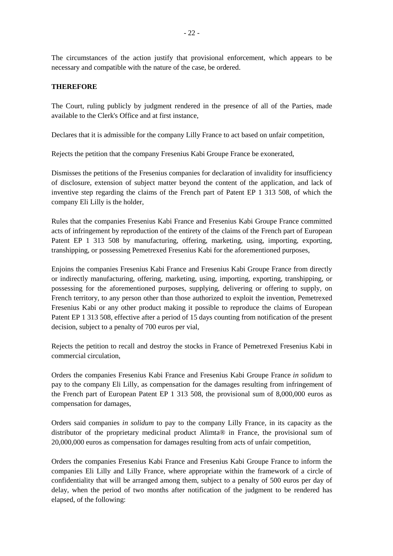The circumstances of the action justify that provisional enforcement, which appears to be necessary and compatible with the nature of the case, be ordered.

# **THEREFORE**

The Court, ruling publicly by judgment rendered in the presence of all of the Parties, made available to the Clerk's Office and at first instance,

Declares that it is admissible for the company Lilly France to act based on unfair competition,

Rejects the petition that the company Fresenius Kabi Groupe France be exonerated,

Dismisses the petitions of the Fresenius companies for declaration of invalidity for insufficiency of disclosure, extension of subject matter beyond the content of the application, and lack of inventive step regarding the claims of the French part of Patent EP 1 313 508, of which the company Eli Lilly is the holder,

Rules that the companies Fresenius Kabi France and Fresenius Kabi Groupe France committed acts of infringement by reproduction of the entirety of the claims of the French part of European Patent EP 1 313 508 by manufacturing, offering, marketing, using, importing, exporting, transhipping, or possessing Pemetrexed Fresenius Kabi for the aforementioned purposes,

Enjoins the companies Fresenius Kabi France and Fresenius Kabi Groupe France from directly or indirectly manufacturing, offering, marketing, using, importing, exporting, transhipping, or possessing for the aforementioned purposes, supplying, delivering or offering to supply, on French territory, to any person other than those authorized to exploit the invention, Pemetrexed Fresenius Kabi or any other product making it possible to reproduce the claims of European Patent EP 1 313 508, effective after a period of 15 days counting from notification of the present decision, subject to a penalty of 700 euros per vial,

Rejects the petition to recall and destroy the stocks in France of Pemetrexed Fresenius Kabi in commercial circulation,

Orders the companies Fresenius Kabi France and Fresenius Kabi Groupe France *in solidum* to pay to the company Eli Lilly, as compensation for the damages resulting from infringement of the French part of European Patent EP 1 313 508, the provisional sum of 8,000,000 euros as compensation for damages,

Orders said companies *in solidum* to pay to the company Lilly France, in its capacity as the distributor of the proprietary medicinal product Alimta® in France, the provisional sum of 20,000,000 euros as compensation for damages resulting from acts of unfair competition,

Orders the companies Fresenius Kabi France and Fresenius Kabi Groupe France to inform the companies Eli Lilly and Lilly France, where appropriate within the framework of a circle of confidentiality that will be arranged among them, subject to a penalty of 500 euros per day of delay, when the period of two months after notification of the judgment to be rendered has elapsed, of the following: